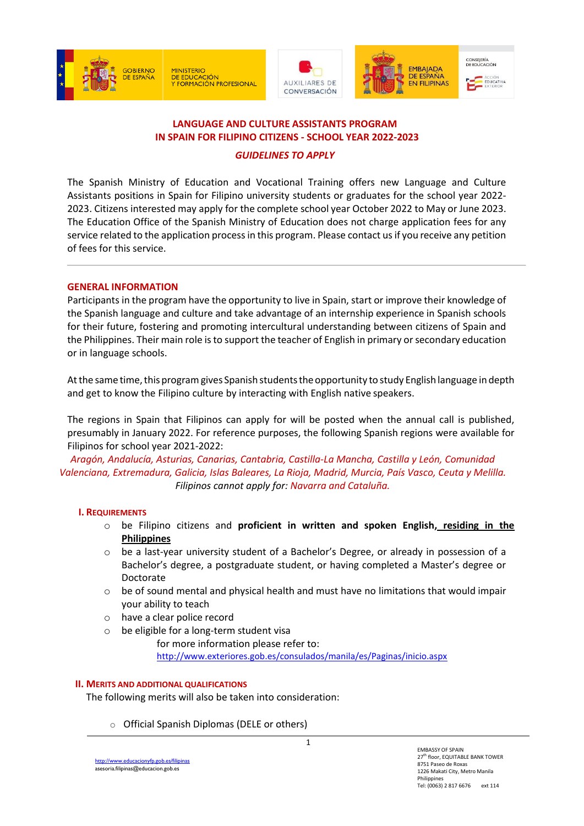

MINISTERIO<br>DE EDUCACIÓN<br>Y FORMACIÓN PROFESIONAL







# **LANGUAGE AND CULTURE ASSISTANTS PROGRAM IN SPAIN FOR FILIPINO CITIZENS - SCHOOL YEAR 2022-2023**

*GUIDELINES TO APPLY*

The Spanish Ministry of Education and Vocational Training offers new Language and Culture Assistants positions in Spain for Filipino university students or graduates for the school year 2022- 2023. Citizens interested may apply for the complete school year October 2022 to May or June 2023. The Education Office of the Spanish Ministry of Education does not charge application fees for any service related to the application processin this program. Please contact usif you receive any petition of fees for this service.

# **GENERAL INFORMATION**

Participants in the program have the opportunity to live in Spain, start or improve their knowledge of the Spanish language and culture and take advantage of an internship experience in Spanish schools for their future, fostering and promoting intercultural understanding between citizens of Spain and the Philippines. Their main role is to support the teacher of English in primary or secondary education or in language schools.

At the same time, this program gives Spanish students the opportunity to study English language in depth and get to know the Filipino culture by interacting with English native speakers.

The regions in Spain that Filipinos can apply for will be posted when the annual call is published, presumably in January 2022. For reference purposes, the following Spanish regions were available for Filipinos for school year 2021-2022:

*Aragón, Andalucía, Asturias, Canarias, Cantabria, Castilla-La Mancha, Castilla y León, Comunidad Valenciana, Extremadura, Galicia, Islas Baleares, La Rioja, Madrid, Murcia, País Vasco, Ceuta y Melilla. Filipinos cannot apply for: Navarra and Cataluña.*

#### **I. REQUIREMENTS**

- o be Filipino citizens and **proficient in written and spoken English, residing in the Philippines**
- o be a last-year university student of a Bachelor's Degree, or already in possession of a Bachelor's degree, a postgraduate student, or having completed a Master's degree or Doctorate
- $\circ$  be of sound mental and physical health and must have no limitations that would impair your ability to teach
- o have a clear police record
- o be eligible for a long-term student visa
	- for more information please refer to: <http://www.exteriores.gob.es/consulados/manila/es/Paginas/inicio.aspx>

#### **II. MERITS AND ADDITIONAL QUALIFICATIONS**

The following merits will also be taken into consideration:

o Official Spanish Diplomas (DELE or others)

1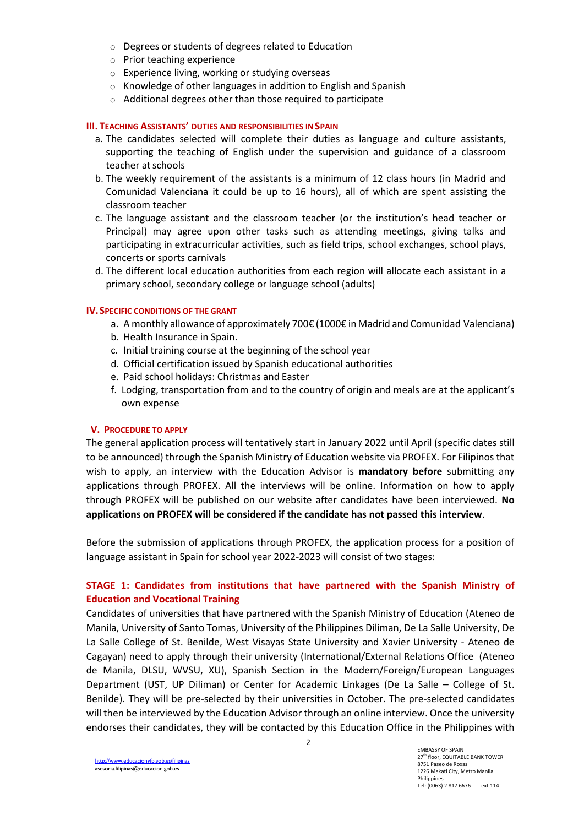- o Degrees or students of degrees related to Education
- o Prior teaching experience
- o Experience living, working or studying overseas
- o Knowledge of other languages in addition to English and Spanish
- o Additional degrees other than those required to participate

#### **III. TEACHING ASSISTANTS' DUTIES AND RESPONSIBILITIES INSPAIN**

- a. The candidates selected will complete their duties as language and culture assistants, supporting the teaching of English under the supervision and guidance of a classroom teacher at schools
- b. The weekly requirement of the assistants is a minimum of 12 class hours (in Madrid and Comunidad Valenciana it could be up to 16 hours), all of which are spent assisting the classroom teacher
- c. The language assistant and the classroom teacher (or the institution's head teacher or Principal) may agree upon other tasks such as attending meetings, giving talks and participating in extracurricular activities, such as field trips, school exchanges, school plays, concerts or sports carnivals
- d. The different local education authorities from each region will allocate each assistant in a primary school, secondary college or language school (adults)

# **IV.SPECIFIC CONDITIONS OF THE GRANT**

- a. A monthly allowance of approximately 700€ (1000€ in Madrid and Comunidad Valenciana)
- b. Health Insurance in Spain.
- c. Initial training course at the beginning of the school year
- d. Official certification issued by Spanish educational authorities
- e. Paid school holidays: Christmas and Easter
- f. Lodging, transportation from and to the country of origin and meals are at the applicant's own expense

#### **V. PROCEDURE TO APPLY**

The general application process will tentatively start in January 2022 until April (specific dates still to be announced) through the Spanish Ministry of Education website via PROFEX. For Filipinos that wish to apply, an interview with the Education Advisor is **mandatory before** submitting any applications through PROFEX. All the interviews will be online. Information on how to apply through PROFEX will be published on our website after candidates have been interviewed. **No applications on PROFEX will be considered if the candidate has not passed this interview**.

Before the submission of applications through PROFEX, the application process for a position of language assistant in Spain for school year 2022-2023 will consist of two stages:

# **STAGE 1: Candidates from institutions that have partnered with the Spanish Ministry of Education and Vocational Training**

Candidates of universities that have partnered with the Spanish Ministry of Education (Ateneo de Manila, University of Santo Tomas, University of the Philippines Diliman, De La Salle University, De La Salle College of St. Benilde, West Visayas State University and Xavier University - Ateneo de Cagayan) need to apply through their university (International/External Relations Office (Ateneo de Manila, DLSU, WVSU, XU), Spanish Section in the Modern/Foreign/European Languages Department (UST, UP Diliman) or Center for Academic Linkages (De La Salle – College of St. Benilde). They will be pre-selected by their universities in October. The pre-selected candidates will then be interviewed by the Education Advisor through an online interview. Once the university endorses their candidates, they will be contacted by this Education Office in the Philippines with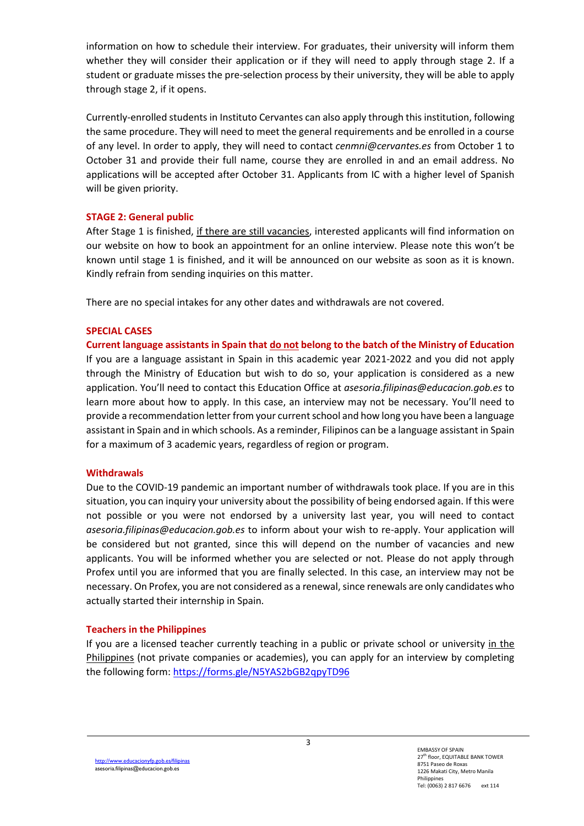information on how to schedule their interview. For graduates, their university will inform them whether they will consider their application or if they will need to apply through stage 2. If a student or graduate misses the pre-selection process by their university, they will be able to apply through stage 2, if it opens.

Currently-enrolled students in Instituto Cervantes can also apply through this institution, following the same procedure. They will need to meet the general requirements and be enrolled in a course of any level. In order to apply, they will need to contact *[cenmni@cervantes.es](https://extranet.educacion.es/owa/,DanaInfo=.aoxcCqjikHn2,Port=443,SSL+redir.aspx?C=gTRGK2RdduS_8RQsrYyHZaLL4_NiiQaWVhQHd04n0z06D51krFrYCA..&URL=mailto%3acenmni%40cervantes.es)* from October 1 to October 31 and provide their full name, course they are enrolled in and an email address. No applications will be accepted after October 31. Applicants from IC with a higher level of Spanish will be given priority.

#### **STAGE 2: General public**

After Stage 1 is finished, if there are still vacancies, interested applicants will find information on our website on how to book an appointment for an online interview. Please note this won't be known until stage 1 is finished, and it will be announced on our website as soon as it is known. Kindly refrain from sending inquiries on this matter.

There are no special intakes for any other dates and withdrawals are not covered.

# **SPECIAL CASES**

**Current language assistants in Spain that do not belong to the batch of the Ministry of Education** If you are a language assistant in Spain in this academic year 2021-2022 and you did not apply through the Ministry of Education but wish to do so, your application is considered as a new application. You'll need to contact this Education Office at *asesoria.filipinas@educacion.gob.es* to learn more about how to apply. In this case, an interview may not be necessary. You'll need to provide a recommendation letter from your current school and how long you have been a language assistant in Spain and in which schools. As a reminder, Filipinos can be a language assistant in Spain for a maximum of 3 academic years, regardless of region or program.

#### **Withdrawals**

Due to the COVID-19 pandemic an important number of withdrawals took place. If you are in this situation, you can inquiry your university about the possibility of being endorsed again. If this were not possible or you were not endorsed by a university last year, you will need to contact *asesoria.filipinas@educacion.gob.es* to inform about your wish to re-apply. Your application will be considered but not granted, since this will depend on the number of vacancies and new applicants. You will be informed whether you are selected or not. Please do not apply through Profex until you are informed that you are finally selected. In this case, an interview may not be necessary. On Profex, you are not considered as a renewal, since renewals are only candidates who actually started their internship in Spain.

# **Teachers in the Philippines**

If you are a licensed teacher currently teaching in a public or private school or university in the Philippines (not private companies or academies), you can apply for an interview by completing the following form: <https://forms.gle/N5YAS2bGB2qpyTD96>